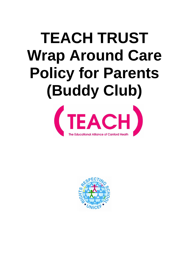# **TEACH TRUST Wrap Around Care Policy for Parents (Buddy Club)**



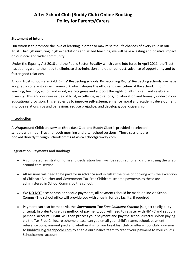## **After School Club (Buddy Club) Online Booking Policy for Parents/Carers**

#### **Statement of Intent**

Our vision is to promote the love of learning in order to maximise the life chances of every child in our Trust. Through nurturing, high expectations and skilled teaching, we will have a lasting and positive impact on our local and wider community.

Under the Equality Act 2010 and the Public Sector Equality which came into force in April 2011, the Trust has due regard, to the need to eliminate discrimination and other conduct, advance of opportunity and to foster good relations.

All our Trust schools are Gold Rights' Respecting schools. By becoming Rights' Respecting schools, we have adopted a coherent values framework which shapes the ethos and curriculum of the school. In our learning, teaching, action and word, we recognise and support the rights of all children, and celebrate diversity. This and our core values of trust, excellence, aspirations, collaboration and honesty underpin our educational provision. This enables us to improve self-esteem, enhance moral and academic development, improve relationships and behaviour, reduce prejudice, and develop global citizenship.

#### **Introduction**

A Wraparound Childcare service (Breakfast Club and Buddy Club) is provided at selected schools within our Trust, for both morning and after school sessions. These sessions are booked directly through Schoolcomms at www.schoolgateway.com.

#### **Registration, Payments and Bookings**

- A completed registration form and declaration form will be required for all children using the wrap around care service.
- All sessions will need to be paid for **in advance and in full** at the time of booking with the exception of Childcare Voucher and Government Tax Free Childcare scheme payments as these are administered in School Comms by the school.
- We **DO NOT** accept cash or cheque payments; all payments should be made online via School Comms (The school office will provide you with a log-in for this facility, if required).
- Payment can also be made via the *Government Tax Free Childcare Scheme* (subject to eligibility criteria). In order to use this method of payment, you will need to register with HMRC and set up a personal account. HMRC will then process your payment and pay the school directly. When paying via the Tax-Free Childcare scheme please can you email your child's name, school, payment reference code, amount paid and whether it is for our breakfast club or afterschool club provision to [buddyclub@teachpoole.com](mailto:buddyclub@teachpoole.com) to enable our finance team to credit your payment to your child's Schoolcomms account.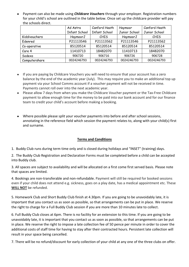• Payment can also be made using *Childcare Vouchers* through your employer. Registration numbers for your child's school are outlined in the table below. Once set up the childcare provider will pay the schools direct.

|                      | Ad Astra      | Canford Heath        | Haymoor       | Canford Heath |
|----------------------|---------------|----------------------|---------------|---------------|
|                      | Infant School | <b>Infant School</b> | Junior School | Junior School |
| <b>Kiddivouchers</b> | HaymoorJ      | CHIS                 | HaymoorJ      | <b>CHIS</b>   |
| Edenred              | P21113546     | P21113562            | P21113546     | P21113562     |
| Co-operative         | 85120514      | 85120514             | 85120514      | 85120514      |
| Care 4               | 11410713      | 18482070             | 11410713      | 18482070      |
| Sodexo               | 906720        | 906716               | 906726        | 906728        |
| Computershare        | 0024246793    | 0024246793           | 0024246793    | 0024246793    |

- If you are paying by Childcare Vouchers you will need to ensure that your account has a zero balance by the end of the academic year (July). This may require you to make an additional top up payment via your School Comms account if a voucher payment will not be received in time. Payments cannot roll over into the next academic year.
- Please allow 7 days from when you make the Childcare Voucher payment or the Tax-Free Childcare payment to allow enough time for the money to be paid into our bank account and for our finance team to credit your child's account before making a booking.
- Where possible please split your voucher payments into before and after school sessions, annotating in the reference field which session the payment relates to, along with your child(s) first and surname.

### **Terms and Conditions**

1. Buddy Club runs during term time only and is closed during holidays and "INSET" (training) days.

2. The Buddy Club Registration and Declaration Forms must be completed before a child can be accepted into Buddy club.

3. All spaces are subject to availability and will be allocated on a first come first served basis. Please note that spaces are limited.

4. Bookings are non-transferable and non-refundable. Payment will still be required for booked sessions even if your child does not attend e.g. sickness, goes on a play date, has a medical appointment etc. These **WILL NOT** be refunded.

5. Homework Club and Short Buddy Club finish at 4.30pm. If you are going to be unavoidably late, it is important that you contact us as soon as possible, so that arrangements can be put in place. We reserve the right to charge for a Full Buddy Club session if you are more than 10 minutes late to collect.

6. Full Buddy Club closes at 6pm. There is no facility for an extension to this time. If you are going to be unavoidably late, it is important that you contact us as soon as possible, so that arrangements can be put in place. We reserve the right to impose a late collection fee of 50 pence per minute in order to cover the additional costs of staff time for having to stay after their contracted hours. Persistent late collection will result in your space being cancelled.

7. There will be no refund/discount for early collection of your child at any one of the three clubs on offer.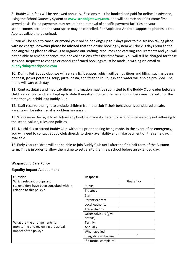8. Buddy Club fees will be reviewed annually. Sessions must be booked and paid for online, in advance, using the School Gateway system at **www.schoolgateway.com**, and will operate on a first come first served basis. Failed payments may result in the removal of specific payment facilities on your schoolcomms account and your space may be cancelled. For Apple and Android supported phones, a free App is available to download.

9. You will be able to cancel or amend your online bookings up to 3 days prior to the session taking place with no charge, **however please be advised** that the online booking system will 'lock' 3 days prior to the booking taking place to allow us to organise our staffing, resources and catering-requirements and you will not be able to amend or cancel the booked sessions after this timeframe. You will still be charged for these sessions. Requests to change or cancel confirmed bookings must be made in writing via email to **buddyclub@teachpoole.com**

10. During Full Buddy club, we will serve a light supper, which will be nutritious and filling, such as beans on toast, jacket potatoes, soup, pizza, pasta, and fresh fruit. Squash and water will also be provided. The menu will vary each day.

11. Contact details and medical/allergy information must be submitted to the Buddy Club leader before a child is able to attend, and kept up to date thereafter. Contact names and numbers must be valid for the time that your child is at Buddy Club.

12. Staff reserve the right to exclude children from the club if their behaviour is considered unsafe. Parents will be informed if a problem has arisen.

13. We reserve the right to withdraw any booking made if a parent or a pupil is repeatedly not adhering to the school values, rules and policies.

14. No child is to attend Buddy Club without a prior booking being made. In the event of an emergency, you will need to contact Buddy Club directly to check availability and make payment on the same day, if available.

15. Early Years children will not be able to join Buddy Club until after the first half term of the Autumn term. This is in order to allow them time to settle into their new school before an extended day.

#### **Wraparound Care Policy**

#### **Equality Impact Assessment**

| Question                                 | Response               |             |
|------------------------------------------|------------------------|-------------|
| Which relevant groups and                |                        | Please tick |
| stakeholders have been consulted with in | Pupils                 |             |
| relation to this policy?                 | <b>Trustees</b>        |             |
|                                          | Staff                  |             |
|                                          | Parents/Carers         |             |
|                                          | Local Authority        |             |
|                                          | <b>Trade Unions</b>    |             |
|                                          | Other Advisors (give   |             |
|                                          | details)               |             |
| What are the arrangements for            | Termly                 |             |
| monitoring and reviewing the actual      | Annually               |             |
| impact of the policy?                    | When applied           |             |
|                                          | If legislation changes |             |
|                                          | If a formal complaint  |             |